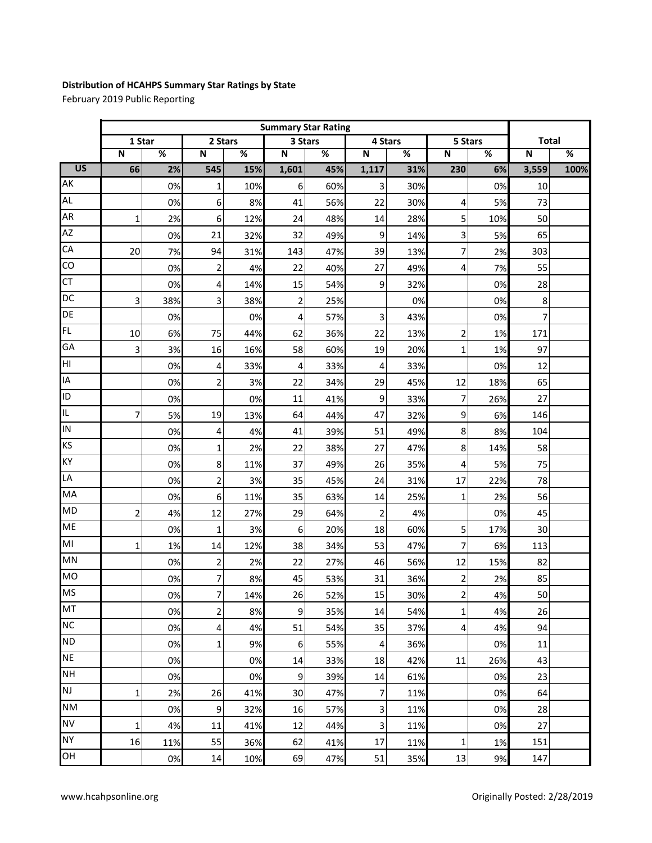## **Distribution of HCAHPS Summary Star Ratings by State**

February 2019 Public Reporting

|                 | <b>Summary Star Rating</b> |     |                         |     |                         |     |                |     |                         |     |                         |      |
|-----------------|----------------------------|-----|-------------------------|-----|-------------------------|-----|----------------|-----|-------------------------|-----|-------------------------|------|
|                 | 1 Star                     |     | 2 Stars                 |     | 3 Stars                 |     | 4 Stars        |     | 5 Stars                 |     | <b>Total</b>            |      |
|                 | $\overline{\mathsf{N}}$    | %   | N                       | %   | $\overline{\mathsf{N}}$ | %   | N              | %   | $\overline{\mathsf{N}}$ | %   | $\overline{\mathsf{N}}$ | %    |
| $\overline{US}$ | 66                         | 2%  | 545                     | 15% | 1,601                   | 45% | 1,117          | 31% | 230                     | 6%  | 3,559                   | 100% |
| AK              |                            | 0%  | $\mathbf 1$             | 10% | 6                       | 60% | 3              | 30% |                         | 0%  | 10                      |      |
| <b>AL</b>       |                            | 0%  | 6                       | 8%  | 41                      | 56% | 22             | 30% | 4                       | 5%  | 73                      |      |
| <b>AR</b>       | $\mathbf{1}$               | 2%  | 6                       | 12% | 24                      | 48% | 14             | 28% | 5                       | 10% | 50                      |      |
| <b>AZ</b>       |                            | 0%  | 21                      | 32% | 32                      | 49% | 9              | 14% | 3                       | 5%  | 65                      |      |
| CA              | 20                         | 7%  | 94                      | 31% | 143                     | 47% | 39             | 13% | 7                       | 2%  | 303                     |      |
| CO              |                            | 0%  | $\overline{\mathbf{c}}$ | 4%  | 22                      | 40% | 27             | 49% | 4                       | 7%  | 55                      |      |
| <b>CT</b>       |                            | 0%  | 4                       | 14% | 15                      | 54% | 9              | 32% |                         | 0%  | 28                      |      |
| DC              | 3                          | 38% | 3                       | 38% | $\overline{2}$          | 25% |                | 0%  |                         | 0%  | 8                       |      |
| DE              |                            | 0%  |                         | 0%  | 4                       | 57% | 3              | 43% |                         | 0%  | 7                       |      |
| FL              | 10                         | 6%  | 75                      | 44% | 62                      | 36% | 22             | 13% | $\overline{c}$          | 1%  | 171                     |      |
| GA              | 3                          | 3%  | 16                      | 16% | 58                      | 60% | 19             | 20% | $\mathbf 1$             | 1%  | 97                      |      |
| НI              |                            | 0%  | 4                       | 33% | 4                       | 33% | $\overline{4}$ | 33% |                         | 0%  | 12                      |      |
| IA              |                            | 0%  | $\overline{c}$          | 3%  | 22                      | 34% | 29             | 45% | 12                      | 18% | 65                      |      |
| ID              |                            | 0%  |                         | 0%  | 11                      | 41% | 9              | 33% | 7                       | 26% | 27                      |      |
| IL.             | $\overline{7}$             | 5%  | 19                      | 13% | 64                      | 44% | 47             | 32% | 9                       | 6%  | 146                     |      |
| IN              |                            | 0%  | 4                       | 4%  | 41                      | 39% | 51             | 49% | 8                       | 8%  | 104                     |      |
| KS              |                            | 0%  | 1                       | 2%  | 22                      | 38% | 27             | 47% | 8                       | 14% | 58                      |      |
| KY              |                            | 0%  | 8                       | 11% | 37                      | 49% | 26             | 35% | 4                       | 5%  | 75                      |      |
| LA              |                            | 0%  | $\overline{2}$          | 3%  | 35                      | 45% | 24             | 31% | 17                      | 22% | 78                      |      |
| MA              |                            | 0%  | 6                       | 11% | 35                      | 63% | 14             | 25% | $\mathbf 1$             | 2%  | 56                      |      |
| <b>MD</b>       | $\overline{2}$             | 4%  | 12                      | 27% | 29                      | 64% | $\overline{2}$ | 4%  |                         | 0%  | 45                      |      |
| <b>ME</b>       |                            | 0%  | $\mathbf 1$             | 3%  | $\boldsymbol{6}$        | 20% | 18             | 60% | 5                       | 17% | 30                      |      |
| MI              | 1                          | 1%  | 14                      | 12% | 38                      | 34% | 53             | 47% | 7                       | 6%  | 113                     |      |
| MN              |                            | 0%  | $\overline{\mathbf{c}}$ | 2%  | 22                      | 27% | 46             | 56% | 12                      | 15% | 82                      |      |
| <b>MO</b>       |                            | 0%  | 7                       | 8%  | 45                      | 53% | 31             | 36% | 2                       | 2%  | 85                      |      |
| <b>MS</b>       |                            | 0%  | $\overline{7}$          | 14% | 26                      | 52% | 15             | 30% | $\mathbf 2$             | 4%  | 50                      |      |
| MT              |                            | 0%  | 2                       | 8%  | 9                       | 35% | 14             | 54% | 1                       | 4%  | 26                      |      |
| <b>NC</b>       |                            | 0%  | 4                       | 4%  | 51                      | 54% | 35             | 37% | $\overline{a}$          | 4%  | 94                      |      |
| <b>ND</b>       |                            | 0%  | 1                       | 9%  | 6                       | 55% | 4              | 36% |                         | 0%  | 11                      |      |
| <b>NE</b>       |                            | 0%  |                         | 0%  | 14                      | 33% | 18             | 42% | 11                      | 26% | 43                      |      |
| <b>NH</b>       |                            | 0%  |                         | 0%  | $\overline{9}$          | 39% | 14             | 61% |                         | 0%  | 23                      |      |
| NJ              | 1                          | 2%  | 26                      | 41% | 30                      | 47% | 7              | 11% |                         | 0%  | 64                      |      |
| <b>NM</b>       |                            | 0%  | 9                       | 32% | 16                      | 57% | 3              | 11% |                         | 0%  | 28                      |      |
| <b>NV</b>       | 1                          | 4%  | 11                      | 41% | 12                      | 44% | 3              | 11% |                         | 0%  | 27                      |      |
| <b>NY</b>       | 16                         | 11% | 55                      | 36% | 62                      | 41% | 17             | 11% | 1                       | 1%  | 151                     |      |
| OH              |                            | 0%  | 14                      | 10% | 69                      | 47% | 51             | 35% | 13                      | 9%  | 147                     |      |